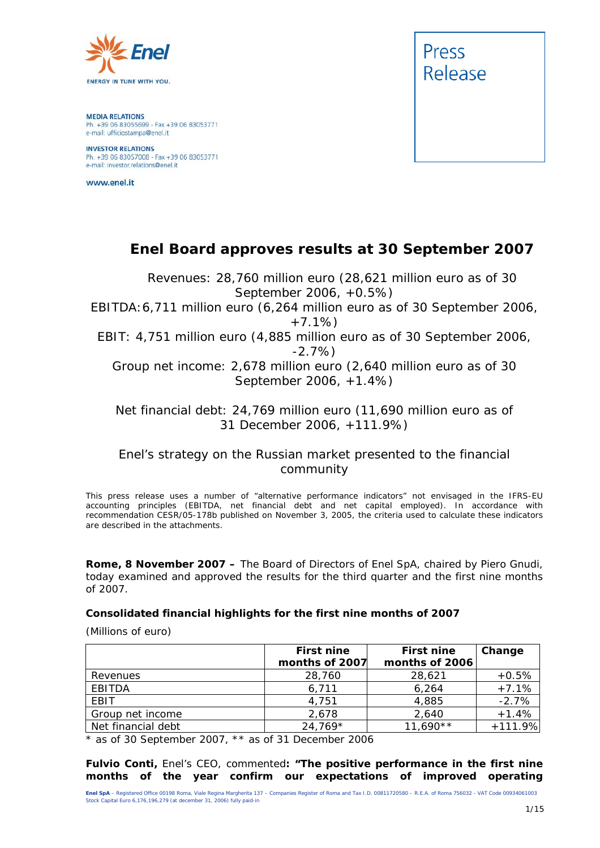

**MEDIA RELATIONS** Ph. +39 06 83055699 - Fax +39 06 83053771 e-mail: ufficiostampa@enel.it

**INVESTOR RELATIONS**<br>Ph. +39 06 83057008 - Fax +39 06 83053771 e-mail: investor.relations@enel.it

www.enel.it



#### **Enel Board approves results at 30 September 2007**

*Revenues: 28,760 million euro (28,621 million euro as of 30 September 2006, +0.5%) EBITDA:6,711 million euro (6,264 million euro as of 30 September 2006, +7.1%) EBIT: 4,751 million euro (4,885 million euro as of 30 September 2006, -2.7%) Group net income: 2,678 million euro (2,640 million euro as of 30 September 2006, +1.4%)* 

*Net financial debt: 24,769 million euro (11,690 million euro as of 31 December 2006, +111.9%)* 

*Enel's strategy on the Russian market presented to the financial community* 

This press release uses a number of "alternative performance indicators" not envisaged in the IFRS-EU accounting principles (EBITDA, net financial debt and net capital employed). In accordance with recommendation CESR/05-178b published on November 3, 2005, the criteria used to calculate these indicators are described in the attachments.

**Rome, 8 November 2007 –** The Board of Directors of Enel SpA, chaired by Piero Gnudi, today examined and approved the results for the third quarter and the first nine months of 2007.

#### **Consolidated financial highlights for the first nine months of 2007**

*(Millions of euro)* 

|                    | <b>First nine</b> | <b>First nine</b> | Change    |
|--------------------|-------------------|-------------------|-----------|
|                    | months of 2007    | months of 2006    |           |
| Revenues           | 28,760            | 28,621            | $+0.5%$   |
| EBITDA             | 6.711             | 6,264             | $+7.1%$   |
| EBIT               | 4.751             | 4,885             | $-2.7%$   |
| Group net income   | 2,678             | 2,640             | $+1.4%$   |
| Net financial debt | 24,769*           | $11,690**$        | $+111.9%$ |

 *\* as of 30 September 2007, \*\* as of 31 December 2006*

**Fulvio Conti,** Enel's CEO, commented**: "The positive performance in the first nine months of the year confirm our expectations of improved operating**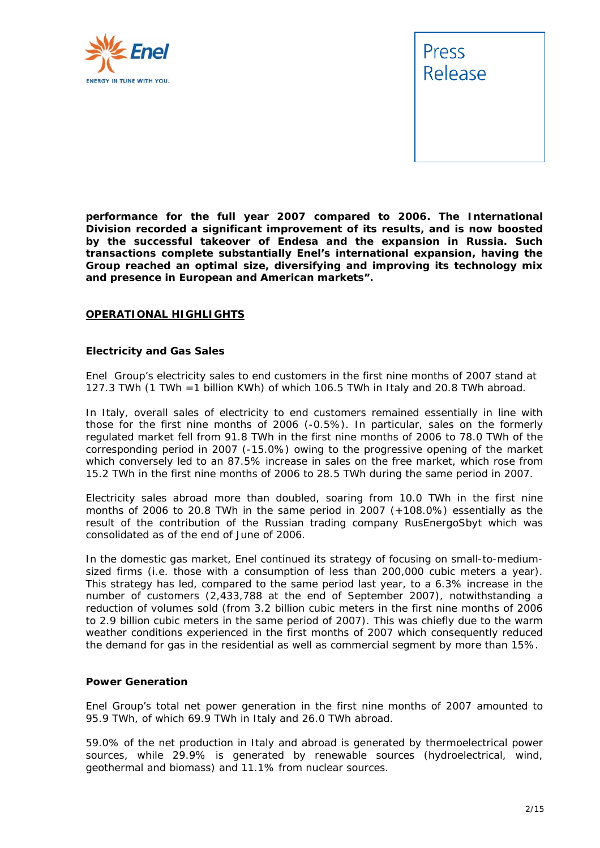



**performance for the full year 2007 compared to 2006. The International Division recorded a significant improvement of its results, and is now boosted by the successful takeover of Endesa and the expansion in Russia. Such transactions complete substantially Enel's international expansion, having the Group reached an optimal size, diversifying and improving its technology mix and presence in European and American markets".** 

#### **OPERATIONAL HIGHLIGHTS**

#### **Electricity and Gas Sales**

Enel Group's electricity sales to end customers in the first nine months of 2007 stand at 127.3 TWh (1 TWh =1 billion KWh) of which 106.5 TWh in Italy and 20.8 TWh abroad.

In Italy, overall sales of electricity to end customers remained essentially in line with those for the first nine months of 2006 (-0.5%). In particular, sales on the formerly regulated market fell from 91.8 TWh in the first nine months of 2006 to 78.0 TWh of the corresponding period in 2007 (-15.0%) owing to the progressive opening of the market which conversely led to an 87.5% increase in sales on the free market, which rose from 15.2 TWh in the first nine months of 2006 to 28.5 TWh during the same period in 2007.

Electricity sales abroad more than doubled, soaring from 10.0 TWh in the first nine months of 2006 to 20.8 TWh in the same period in 2007 (+108.0%) essentially as the result of the contribution of the Russian trading company RusEnergoSbyt which was consolidated as of the end of June of 2006.

In the domestic gas market, Enel continued its strategy of focusing on small-to-mediumsized firms (i.e. those with a consumption of less than 200,000 cubic meters a year). This strategy has led, compared to the same period last year, to a 6.3% increase in the number of customers (2,433,788 at the end of September 2007), notwithstanding a reduction of volumes sold (from 3.2 billion cubic meters in the first nine months of 2006 to 2.9 billion cubic meters in the same period of 2007). This was chiefly due to the warm weather conditions experienced in the first months of 2007 which consequently reduced the demand for gas in the residential as well as commercial segment by more than 15%.

#### **Power Generation**

Enel Group's total net power generation in the first nine months of 2007 amounted to 95.9 TWh, of which 69.9 TWh in Italy and 26.0 TWh abroad.

59.0% of the net production in Italy and abroad is generated by thermoelectrical power sources, while 29.9% is generated by renewable sources (hydroelectrical, wind, geothermal and biomass) and 11.1% from nuclear sources.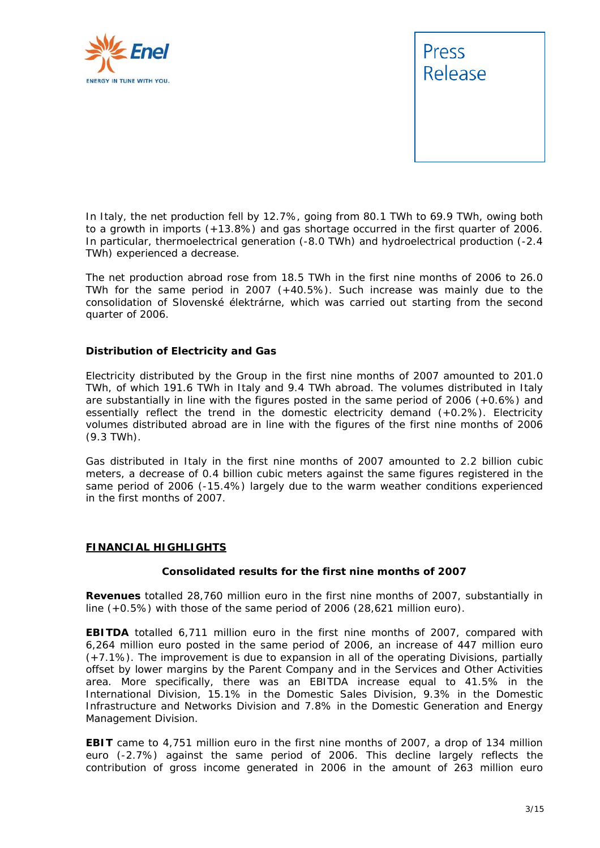



In Italy, the net production fell by 12.7%, going from 80.1 TWh to 69.9 TWh, owing both to a growth in imports (+13.8%) and gas shortage occurred in the first quarter of 2006. In particular, thermoelectrical generation (-8.0 TWh) and hydroelectrical production (-2.4 TWh) experienced a decrease.

The net production abroad rose from 18.5 TWh in the first nine months of 2006 to 26.0 TWh for the same period in 2007 (+40.5%). Such increase was mainly due to the consolidation of Slovenské élektrárne, which was carried out starting from the second quarter of 2006.

#### **Distribution of Electricity and Gas**

Electricity distributed by the Group in the first nine months of 2007 amounted to 201.0 TWh, of which 191.6 TWh in Italy and 9.4 TWh abroad. The volumes distributed in Italy are substantially in line with the figures posted in the same period of  $2006 (+0.6%)$  and essentially reflect the trend in the domestic electricity demand (+0.2%). Electricity volumes distributed abroad are in line with the figures of the first nine months of 2006 (9.3 TWh).

Gas distributed in Italy in the first nine months of 2007 amounted to 2.2 billion cubic meters, a decrease of 0.4 billion cubic meters against the same figures registered in the same period of 2006 (-15.4%) largely due to the warm weather conditions experienced in the first months of 2007.

#### **FINANCIAL HIGHLIGHTS**

#### **Consolidated results for the first nine months of 2007**

**Revenues** totalled 28,760 million euro in the first nine months of 2007, substantially in line (+0.5%) with those of the same period of 2006 (28,621 million euro).

**EBITDA** totalled 6,711 million euro in the first nine months of 2007, compared with 6,264 million euro posted in the same period of 2006, an increase of 447 million euro (+7.1%). The improvement is due to expansion in all of the operating Divisions, partially offset by lower margins by the Parent Company and in the Services and Other Activities area. More specifically, there was an EBITDA increase equal to 41.5% in the International Division, 15.1% in the Domestic Sales Division, 9.3% in the Domestic Infrastructure and Networks Division and 7.8% in the Domestic Generation and Energy Management Division.

**EBIT** came to 4,751 million euro in the first nine months of 2007, a drop of 134 million euro (-2.7%) against the same period of 2006. This decline largely reflects the contribution of gross income generated in 2006 in the amount of 263 million euro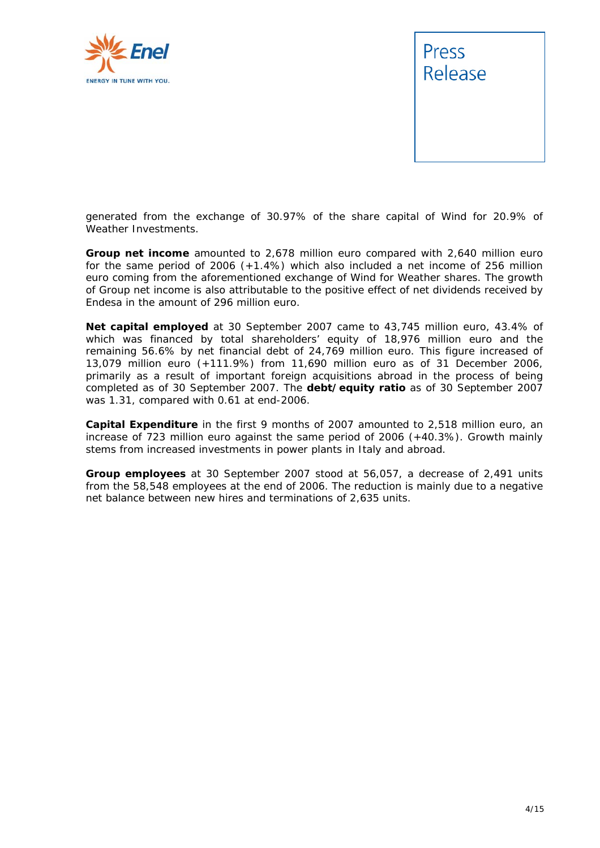



generated from the exchange of 30.97% of the share capital of Wind for 20.9% of Weather Investments.

**Group net income** amounted to 2,678 million euro compared with 2,640 million euro for the same period of 2006 (+1.4%) which also included a net income of 256 million euro coming from the aforementioned exchange of Wind for Weather shares. The growth of Group net income is also attributable to the positive effect of net dividends received by Endesa in the amount of 296 million euro.

**Net capital employed** at 30 September 2007 came to 43,745 million euro, 43.4% of which was financed by total shareholders' equity of 18,976 million euro and the remaining 56.6% by net financial debt of 24,769 million euro. This figure increased of 13,079 million euro (+111.9%) from 11,690 million euro as of 31 December 2006, primarily as a result of important foreign acquisitions abroad in the process of being completed as of 30 September 2007. The **debt/equity ratio** as of 30 September 2007 was 1.31, compared with 0.61 at end-2006.

**Capital Expenditure** in the first 9 months of 2007 amounted to 2,518 million euro, an increase of 723 million euro against the same period of 2006 (+40.3%). Growth mainly stems from increased investments in power plants in Italy and abroad.

**Group employees** at 30 September 2007 stood at 56,057, a decrease of 2,491 units from the 58,548 employees at the end of 2006. The reduction is mainly due to a negative net balance between new hires and terminations of 2,635 units.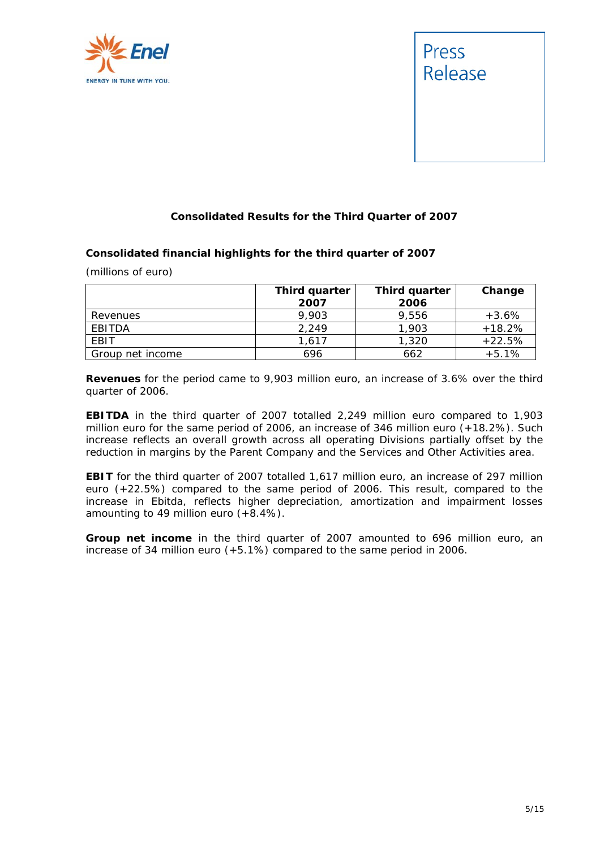



#### **Consolidated Results for the Third Quarter of 2007**

#### **Consolidated financial highlights for the third quarter of 2007**

*(millions of euro)* 

|                  | Third quarter<br>2007 | Third quarter<br>2006 | Change   |
|------------------|-----------------------|-----------------------|----------|
| Revenues         | 9,903                 | 9,556                 | $+3.6%$  |
| EBITDA           | 2,249                 | 1,903                 | $+18.2%$ |
| EBIT             | 1,617                 | 1,320                 | $+22.5%$ |
| Group net income | 696                   | 662                   | $+5.1%$  |

**Revenues** for the period came to 9,903 million euro, an increase of 3.6% over the third quarter of 2006.

**EBITDA** in the third quarter of 2007 totalled 2,249 million euro compared to 1,903 million euro for the same period of 2006, an increase of 346 million euro (+18.2%). Such increase reflects an overall growth across all operating Divisions partially offset by the reduction in margins by the Parent Company and the Services and Other Activities area.

**EBIT** for the third quarter of 2007 totalled 1,617 million euro, an increase of 297 million euro (+22.5%) compared to the same period of 2006. This result, compared to the increase in Ebitda, reflects higher depreciation, amortization and impairment losses amounting to 49 million euro (+8.4%).

**Group net income** in the third quarter of 2007 amounted to 696 million euro, an increase of 34 million euro (+5.1%) compared to the same period in 2006.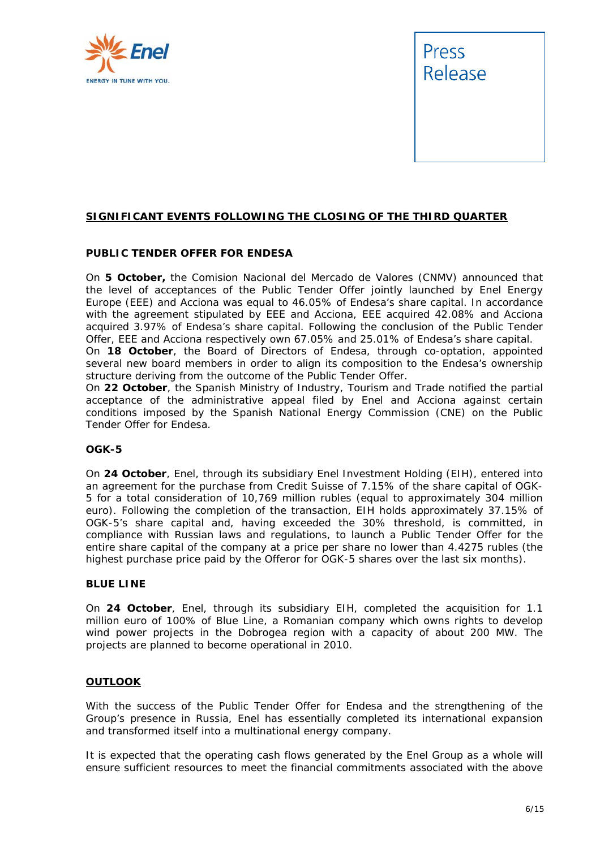

#### **SIGNIFICANT EVENTS FOLLOWING THE CLOSING OF THE THIRD QUARTER**

Press

Release

#### **PUBLIC TENDER OFFER FOR ENDESA**

On **5 October,** the Comision Nacional del Mercado de Valores (CNMV) announced that the level of acceptances of the Public Tender Offer jointly launched by Enel Energy Europe (EEE) and Acciona was equal to 46.05% of Endesa's share capital. In accordance with the agreement stipulated by EEE and Acciona, EEE acquired 42.08% and Acciona acquired 3.97% of Endesa's share capital. Following the conclusion of the Public Tender Offer, EEE and Acciona respectively own 67.05% and 25.01% of Endesa's share capital.

On **18 October**, the Board of Directors of Endesa, through co-optation, appointed several new board members in order to align its composition to the Endesa's ownership structure deriving from the outcome of the Public Tender Offer.

On **22 October**, the Spanish Ministry of Industry, Tourism and Trade notified the partial acceptance of the administrative appeal filed by Enel and Acciona against certain conditions imposed by the Spanish National Energy Commission (CNE) on the Public Tender Offer for Endesa.

#### **OGK-5**

On **24 October**, Enel, through its subsidiary Enel Investment Holding (EIH), entered into an agreement for the purchase from Credit Suisse of 7.15% of the share capital of OGK-5 for a total consideration of 10,769 million rubles (equal to approximately 304 million euro). Following the completion of the transaction, EIH holds approximately 37.15% of OGK-5's share capital and, having exceeded the 30% threshold, is committed, in compliance with Russian laws and regulations, to launch a Public Tender Offer for the entire share capital of the company at a price per share no lower than 4.4275 rubles (the highest purchase price paid by the Offeror for OGK-5 shares over the last six months).

#### **BLUE LINE**

On **24 October**, Enel, through its subsidiary EIH, completed the acquisition for 1.1 million euro of 100% of Blue Line, a Romanian company which owns rights to develop wind power projects in the Dobrogea region with a capacity of about 200 MW. The projects are planned to become operational in 2010.

#### **OUTLOOK**

With the success of the Public Tender Offer for Endesa and the strengthening of the Group's presence in Russia, Enel has essentially completed its international expansion and transformed itself into a multinational energy company.

It is expected that the operating cash flows generated by the Enel Group as a whole will ensure sufficient resources to meet the financial commitments associated with the above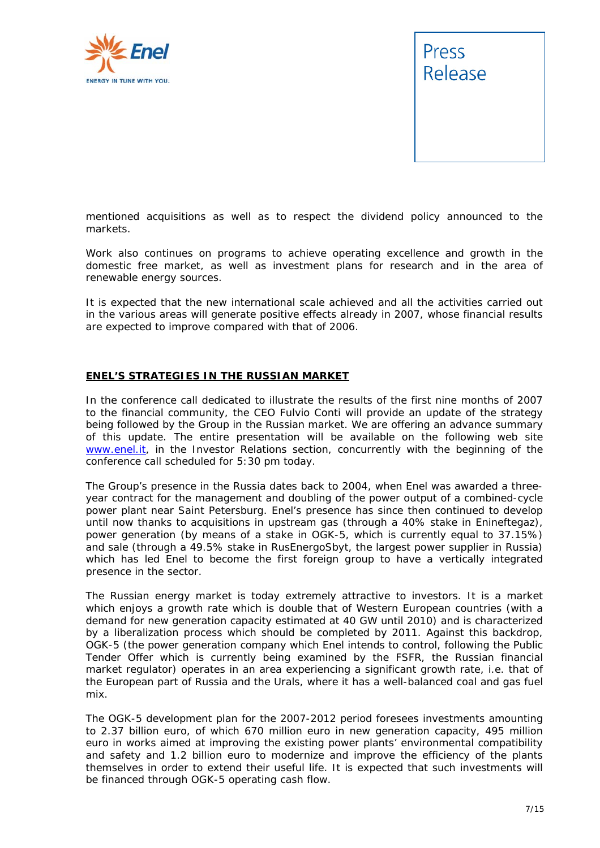



mentioned acquisitions as well as to respect the dividend policy announced to the markets.

Work also continues on programs to achieve operating excellence and growth in the domestic free market, as well as investment plans for research and in the area of renewable energy sources.

It is expected that the new international scale achieved and all the activities carried out in the various areas will generate positive effects already in 2007, whose financial results are expected to improve compared with that of 2006.

#### **ENEL'S STRATEGIES IN THE RUSSIAN MARKET**

In the conference call dedicated to illustrate the results of the first nine months of 2007 to the financial community, the CEO Fulvio Conti will provide an update of the strategy being followed by the Group in the Russian market. We are offering an advance summary of this update. The entire presentation will be available on the following web site *www.enel.it,* in the *Investor Relations section,* concurrently with the beginning of the conference call scheduled for 5:30 pm today.

The Group's presence in the Russia dates back to 2004, when Enel was awarded a threeyear contract for the management and doubling of the power output of a combined-cycle power plant near Saint Petersburg. Enel's presence has since then continued to develop until now thanks to acquisitions in upstream gas (through a 40% stake in Enineftegaz), power generation (by means of a stake in OGK-5, which is currently equal to 37.15%) and sale (through a 49.5% stake in RusEnergoSbyt, the largest power supplier in Russia) which has led Enel to become the first foreign group to have a vertically integrated presence in the sector.

The Russian energy market is today extremely attractive to investors. It is a market which enjoys a growth rate which is double that of Western European countries (with a demand for new generation capacity estimated at 40 GW until 2010) and is characterized by a liberalization process which should be completed by 2011. Against this backdrop, OGK-5 (the power generation company which Enel intends to control, following the Public Tender Offer which is currently being examined by the FSFR, the Russian financial market regulator) operates in an area experiencing a significant growth rate, i.e. that of the European part of Russia and the Urals, where it has a well-balanced coal and gas fuel mix.

The OGK-5 development plan for the 2007-2012 period foresees investments amounting to 2.37 billion euro, of which 670 million euro in new generation capacity, 495 million euro in works aimed at improving the existing power plants' environmental compatibility and safety and 1.2 billion euro to modernize and improve the efficiency of the plants themselves in order to extend their useful life. It is expected that such investments will be financed through OGK-5 operating cash flow.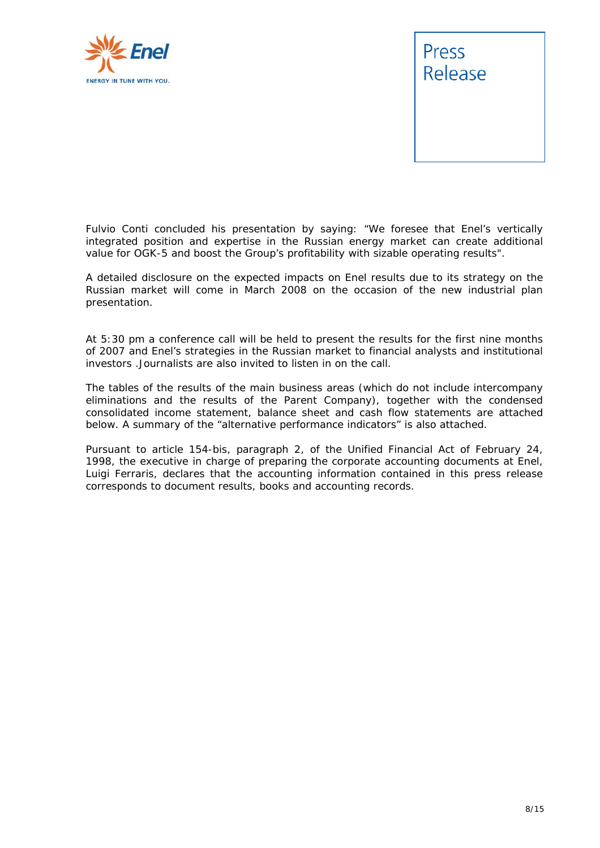



Fulvio Conti concluded his presentation by saying: "We foresee that Enel's vertically integrated position and expertise in the Russian energy market can create additional value for OGK-5 and boost the Group's profitability with sizable operating results".

A detailed disclosure on the expected impacts on Enel results due to its strategy on the Russian market will come in March 2008 on the occasion of the new industrial plan presentation.

*At 5:30 pm a conference call will be held to present the results for the first nine months of 2007 and Enel's strategies in the Russian market to financial analysts and institutional investors .Journalists are also invited to listen in on the call.* 

*The tables of the results of the main business areas (which do not include intercompany eliminations and the results of the Parent Company), together with the condensed consolidated income statement, balance sheet and cash flow statements are attached below. A summary of the "alternative performance indicators" is also attached.* 

*Pursuant to article 154-bis, paragraph 2, of the Unified Financial Act of February 24, 1998, the executive in charge of preparing the corporate accounting documents at Enel, Luigi Ferraris, declares that the accounting information contained in this press release corresponds to document results, books and accounting records.*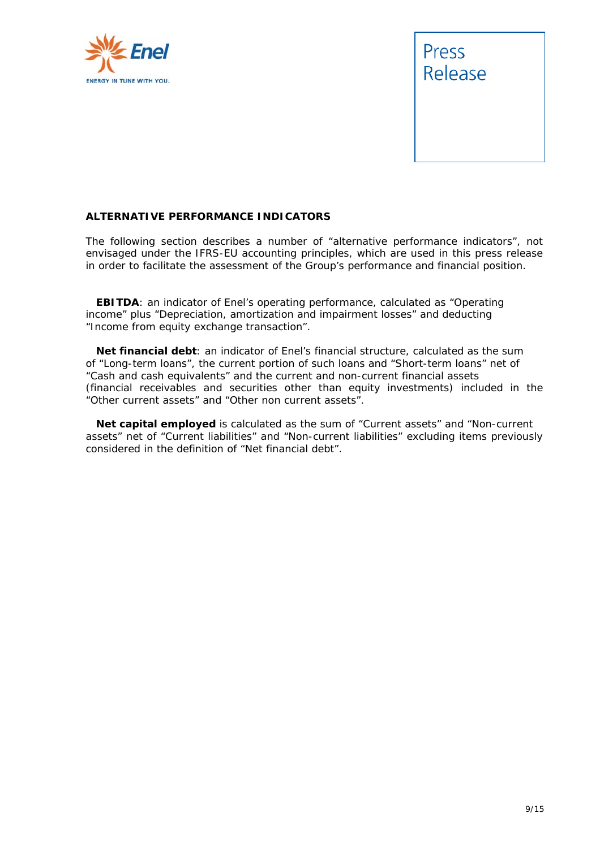



#### **ALTERNATIVE PERFORMANCE INDICATORS**

The following section describes a number of "alternative performance indicators", not envisaged under the IFRS-EU accounting principles, which are used in this press release in order to facilitate the assessment of the Group's performance and financial position.

 **EBITDA**: an indicator of Enel's operating performance, calculated as "Operating income" plus "Depreciation, amortization and impairment losses" and deducting "Income from equity exchange transaction".

 **Net financial debt**: an indicator of Enel's financial structure, calculated as the sum of "Long-term loans", the current portion of such loans and "Short-term loans" net of "Cash and cash equivalents" and the current and non-current financial assets (financial receivables and securities other than equity investments) included in the "Other current assets" and "Other non current assets".

 **Net capital employed** is calculated as the sum of "Current assets" and "Non-current assets" net of "Current liabilities" and "Non-current liabilities" excluding items previously considered in the definition of "Net financial debt".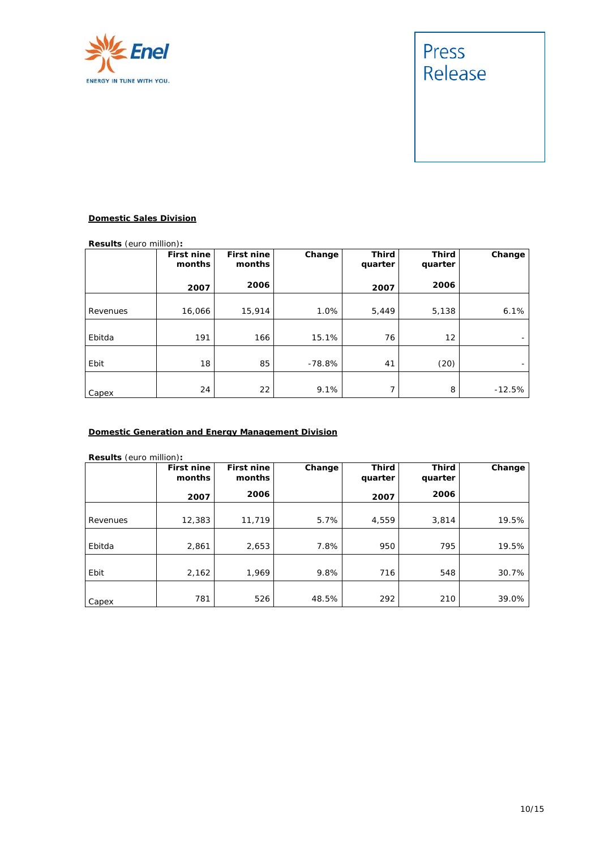

#### **Domestic Sales Division**

| <b>Results</b> (euro million): |                             |                             |        |                         |                         |          |  |
|--------------------------------|-----------------------------|-----------------------------|--------|-------------------------|-------------------------|----------|--|
|                                | <b>First nine</b><br>months | <b>First nine</b><br>months | Change | <b>Third</b><br>quarter | <b>Third</b><br>quarter | Change   |  |
|                                | 2007                        | 2006                        |        | 2007                    | 2006                    |          |  |
| Revenues                       | 16,066                      | 15,914                      | 1.0%   | 5,449                   | 5,138                   | 6.1%     |  |
|                                |                             |                             |        |                         |                         |          |  |
| Ebitda                         | 191                         | 166                         | 15.1%  | 76                      | 12                      |          |  |
| Ebit                           | 18                          | 85                          | -78.8% | 41                      | (20)                    |          |  |
| Capex                          | 24                          | 22                          | 9.1%   | ℸ                       | 8                       | $-12.5%$ |  |

#### **Domestic Generation and Energy Management Division**

#### **Results** (euro million)**:**

|          | <b>First nine</b><br>months | <b>First nine</b><br>months | Change | <b>Third</b><br>quarter | <b>Third</b><br>quarter | Change |
|----------|-----------------------------|-----------------------------|--------|-------------------------|-------------------------|--------|
|          | 2007                        | 2006                        |        | 2007                    | 2006                    |        |
|          |                             |                             |        |                         |                         |        |
| Revenues | 12,383                      | 11,719                      | 5.7%   | 4,559                   | 3,814                   | 19.5%  |
|          |                             |                             |        |                         |                         |        |
| Ebitda   | 2,861                       | 2,653                       | 7.8%   | 950                     | 795                     | 19.5%  |
|          |                             |                             |        |                         |                         |        |
| Ebit     | 2,162                       | 1.969                       | 9.8%   | 716                     | 548                     | 30.7%  |
|          |                             |                             |        |                         |                         |        |
| Capex    | 781                         | 526                         | 48.5%  | 292                     | 210                     | 39.0%  |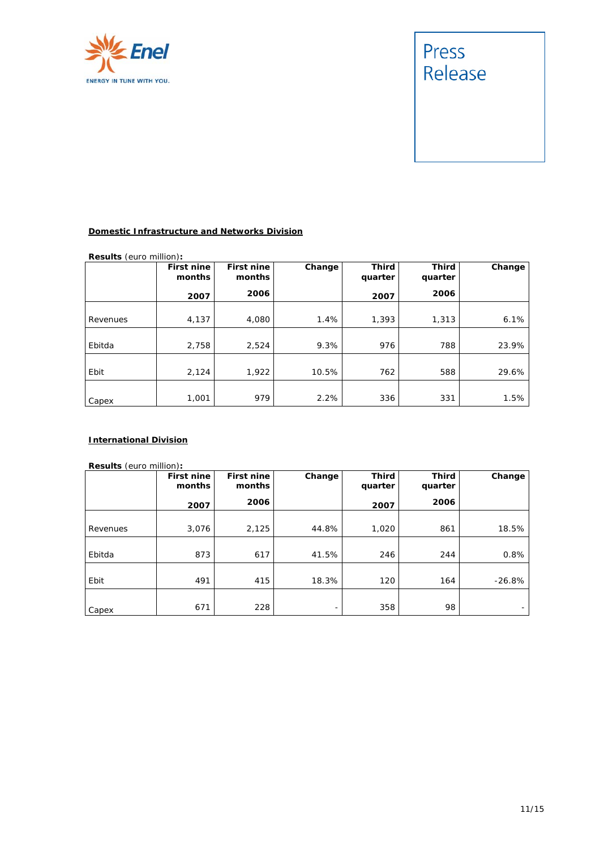

#### **Domestic Infrastructure and Networks Division**

| <b>Results</b> (euro million): |                             |                             |        |                         |                         |        |
|--------------------------------|-----------------------------|-----------------------------|--------|-------------------------|-------------------------|--------|
|                                | <b>First nine</b><br>months | <b>First nine</b><br>months | Change | <b>Third</b><br>quarter | <b>Third</b><br>quarter | Change |
|                                | 2007                        | 2006                        |        | 2007                    | 2006                    |        |
|                                |                             |                             |        |                         |                         |        |
| Revenues                       | 4,137                       | 4,080                       | 1.4%   | 1,393                   | 1,313                   | 6.1%   |
|                                |                             |                             |        |                         |                         |        |
| Ebitda                         | 2,758                       | 2,524                       | 9.3%   | 976                     | 788                     | 23.9%  |
|                                |                             |                             |        |                         |                         |        |
| Ebit                           | 2,124                       | 1,922                       | 10.5%  | 762                     | 588                     | 29.6%  |
|                                |                             |                             |        |                         |                         |        |
| Capex                          | 1,001                       | 979                         | 2.2%   | 336                     | 331                     | 1.5%   |

#### **International Division**

**Results** (euro million)**:** 

|          | First nine<br>months | <b>First nine</b><br>months | Change | <b>Third</b><br>quarter | <b>Third</b><br>quarter | Change    |
|----------|----------------------|-----------------------------|--------|-------------------------|-------------------------|-----------|
|          | 2007                 | 2006                        |        | 2007                    | 2006                    |           |
|          |                      |                             |        |                         |                         |           |
| Revenues | 3,076                | 2,125                       | 44.8%  | 1,020                   | 861                     | 18.5%     |
|          |                      |                             |        |                         |                         |           |
| Ebitda   | 873                  | 617                         | 41.5%  | 246                     | 244                     | 0.8%      |
|          |                      |                             |        |                         |                         |           |
| Ebit     | 491                  | 415                         | 18.3%  | 120                     | 164                     | $-26.8\%$ |
|          |                      |                             |        |                         |                         |           |
| Capex    | 671                  | 228                         | -      | 358                     | 98                      |           |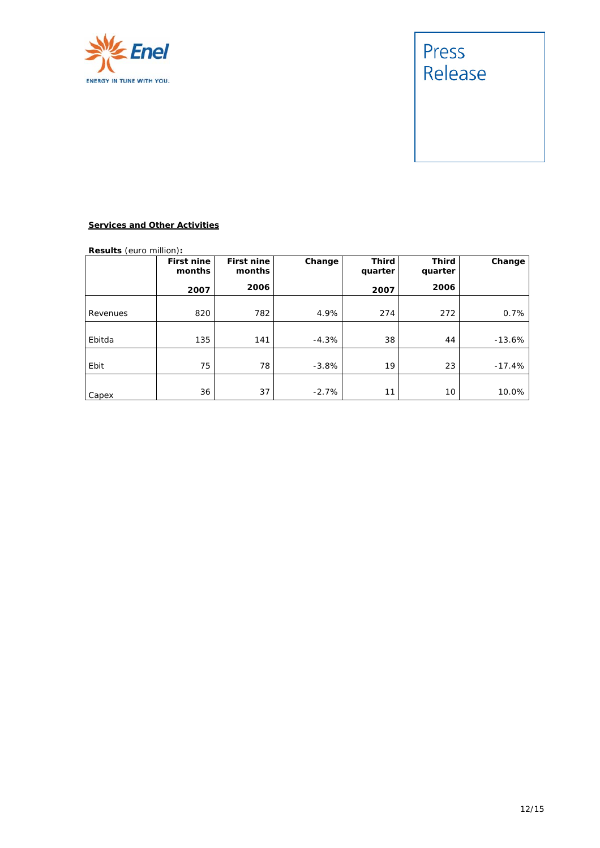

#### **Services and Other Activities**

| <b>Results</b> (euro million): |                             |                             |         |                         |                         |          |
|--------------------------------|-----------------------------|-----------------------------|---------|-------------------------|-------------------------|----------|
|                                | <b>First nine</b><br>months | <b>First nine</b><br>months | Change  | <b>Third</b><br>quarter | <b>Third</b><br>quarter | Change   |
|                                | 2007                        | 2006                        |         | 2007                    | 2006                    |          |
|                                |                             |                             |         |                         |                         |          |
| Revenues                       | 820                         | 782                         | 4.9%    | 274                     | 272                     | 0.7%     |
|                                |                             |                             |         |                         |                         |          |
| Ebitda                         | 135                         | 141                         | $-4.3%$ | 38                      | 44                      | $-13.6%$ |
|                                |                             |                             |         |                         |                         |          |
| Ebit                           | 75                          | 78                          | $-3.8%$ | 19                      | 23                      | $-17.4%$ |
|                                |                             |                             |         |                         |                         |          |
| Capex                          | 36                          | 37                          | $-2.7%$ | 11                      | 10                      | 10.0%    |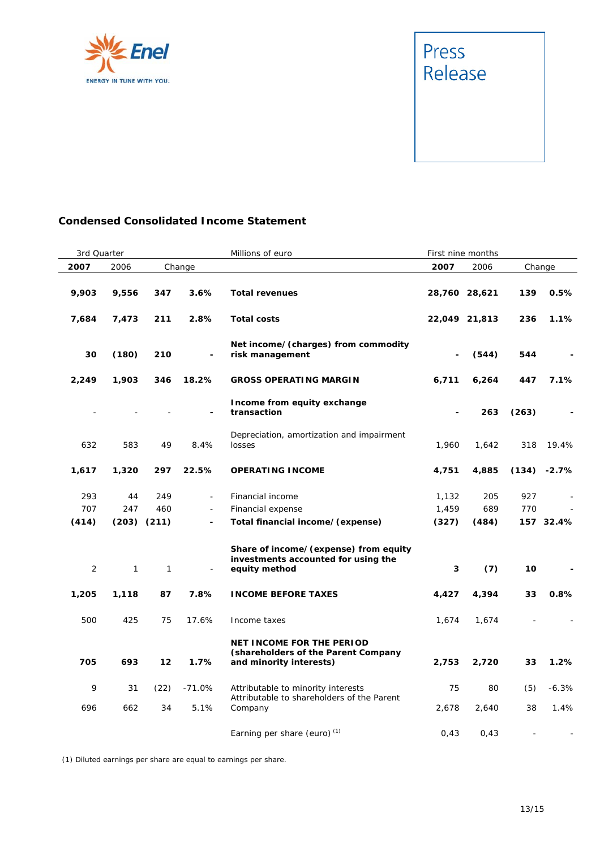



#### **Condensed Consolidated Income Statement**

| 3rd Quarter |              |                 |                          | Millions of euro                                                                                   |       | First nine months |       |           |
|-------------|--------------|-----------------|--------------------------|----------------------------------------------------------------------------------------------------|-------|-------------------|-------|-----------|
| 2007        | 2006         |                 | Change                   |                                                                                                    | 2007  | 2006              |       | Change    |
| 9,903       | 9,556        | 347             | 3.6%                     | <b>Total revenues</b>                                                                              |       | 28,760 28,621     | 139   | $0.5\%$   |
| 7,684       | 7,473        | 211             | 2.8%                     | <b>Total costs</b>                                                                                 |       | 22,049 21,813     | 236   | 1.1%      |
| 30          | (180)        | 210             |                          | Net income/(charges) from commodity<br>risk management                                             |       | (544)             | 544   |           |
| 2,249       | 1,903        | 346             | 18.2%                    | <b>GROSS OPERATING MARGIN</b>                                                                      | 6,711 | 6,264             | 447   | 7.1%      |
|             |              |                 |                          | Income from equity exchange<br>transaction                                                         |       | 263               | (263) |           |
| 632         | 583          | 49              | 8.4%                     | Depreciation, amortization and impairment<br>losses                                                | 1,960 | 1,642             | 318   | 19.4%     |
| 1,617       | 1,320        | 297             | 22.5%                    | <b>OPERATING INCOME</b>                                                                            | 4,751 | 4,885             | (134) | $-2.7%$   |
| 293         | 44           | 249             |                          | Financial income                                                                                   | 1,132 | 205               | 927   |           |
| 707         | 247          | 460             | $\overline{\phantom{a}}$ | Financial expense                                                                                  | 1,459 | 689               | 770   |           |
| (414)       |              | $(203)$ $(211)$ | $\blacksquare$           | Total financial income/(expense)                                                                   | (327) | (484)             |       | 157 32.4% |
| 2           | $\mathbf{1}$ | $\mathbf{1}$    |                          | Share of income/(expense) from equity<br>investments accounted for using the<br>equity method      | 3     | (7)               | 10    |           |
| 1,205       | 1,118        | 87              | 7.8%                     | <b>INCOME BEFORE TAXES</b>                                                                         | 4,427 | 4,394             | 33    | 0.8%      |
| 500         | 425          | 75              | 17.6%                    | Income taxes                                                                                       | 1,674 | 1,674             |       |           |
| 705         | 693          | 12              | 1.7%                     | <b>NET INCOME FOR THE PERIOD</b><br>(shareholders of the Parent Company<br>and minority interests) | 2,753 | 2,720             | 33    | 1.2%      |
| 9           | 31           | (22)            | $-71.0%$                 | Attributable to minority interests<br>Attributable to shareholders of the Parent                   | 75    | 80                | (5)   | $-6.3%$   |
| 696         | 662          | 34              | 5.1%                     | Company                                                                                            | 2,678 | 2,640             | 38    | 1.4%      |
|             |              |                 |                          | Earning per share (euro) <sup>(1)</sup>                                                            | 0,43  | 0,43              |       |           |

(1) Diluted earnings per share are equal to earnings per share.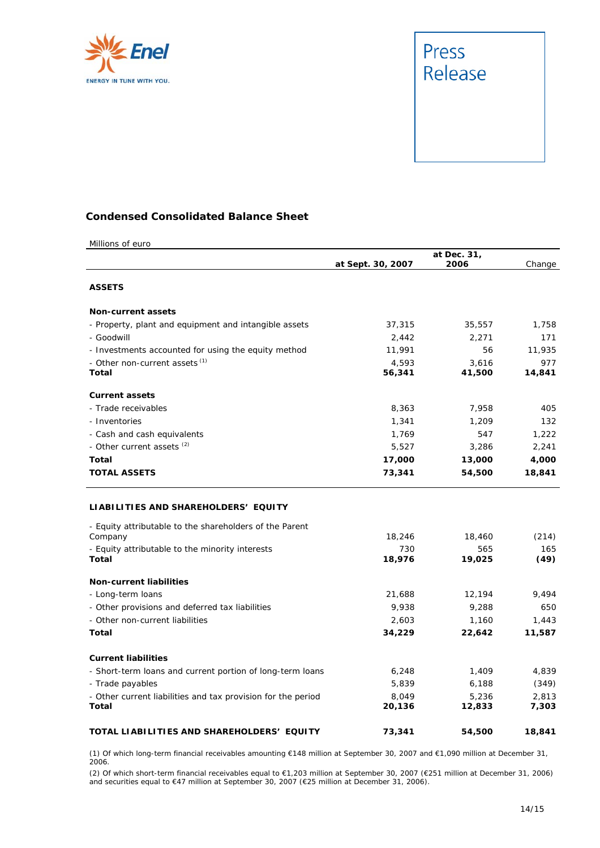



#### **Condensed Consolidated Balance Sheet**

|                                                                 |                   | at Dec. 31,     |               |
|-----------------------------------------------------------------|-------------------|-----------------|---------------|
|                                                                 | at Sept. 30, 2007 | 2006            | Change        |
| <b>ASSETS</b>                                                   |                   |                 |               |
| <b>Non-current assets</b>                                       |                   |                 |               |
| - Property, plant and equipment and intangible assets           | 37,315            | 35,557          | 1,758         |
| - Goodwill                                                      | 2,442             | 2,271           | 171           |
| - Investments accounted for using the equity method             | 11,991            | 56              | 11,935        |
| - Other non-current assets (1)<br><b>Total</b>                  | 4,593<br>56,341   | 3,616<br>41,500 | 977<br>14,841 |
| <b>Current assets</b>                                           |                   |                 |               |
| - Trade receivables                                             | 8,363             | 7,958           | 405           |
| - Inventories                                                   | 1,341             | 1,209           | 132           |
| - Cash and cash equivalents                                     | 1,769             | 547             | 1,222         |
| - Other current assets <sup>(2)</sup>                           | 5,527             | 3,286           | 2,241         |
| Total                                                           | 17,000            | 13,000          | 4,000         |
| <b>TOTAL ASSETS</b>                                             | 73,341            | 54,500          | 18,841        |
| LIABILITIES AND SHAREHOLDERS' EQUITY                            |                   |                 |               |
| - Equity attributable to the shareholders of the Parent         |                   |                 |               |
| Company                                                         | 18,246            | 18,460          | (214)         |
| - Equity attributable to the minority interests<br><b>Total</b> | 730<br>18,976     | 565<br>19,025   | 165<br>(49)   |
| <b>Non-current liabilities</b>                                  |                   |                 |               |

| - Long-term loans                                                     | 21,688          | 12.194          | 9.494          |
|-----------------------------------------------------------------------|-----------------|-----------------|----------------|
| - Other provisions and deferred tax liabilities                       | 9.938           | 9.288           | 650            |
| - Other non-current liabilities                                       | 2.603           | 1,160           | 1,443          |
| Total                                                                 | 34,229          | 22,642          | 11,587         |
| <b>Current liabilities</b>                                            |                 |                 |                |
| - Short-term loans and current portion of long-term loans             | 6,248           | 1.409           | 4,839          |
| - Trade payables                                                      | 5,839           | 6.188           | (349)          |
| - Other current liabilities and tax provision for the period<br>Total | 8.049<br>20,136 | 5.236<br>12,833 | 2.813<br>7,303 |
| TOTAL LIABILITIES AND SHAREHOLDERS' EQUITY                            | 73,341          | 54,500          | 18,841         |

(1) Of which long-term financial receivables amounting €148 million at September 30, 2007 and €1,090 million at December 31, 2006.

(2) Of which short-term financial receivables equal to €1,203 million at September 30, 2007 (€251 million at December 31, 2006) and securities equal to €47 million at September 30, 2007 (€25 million at December 31, 2006).